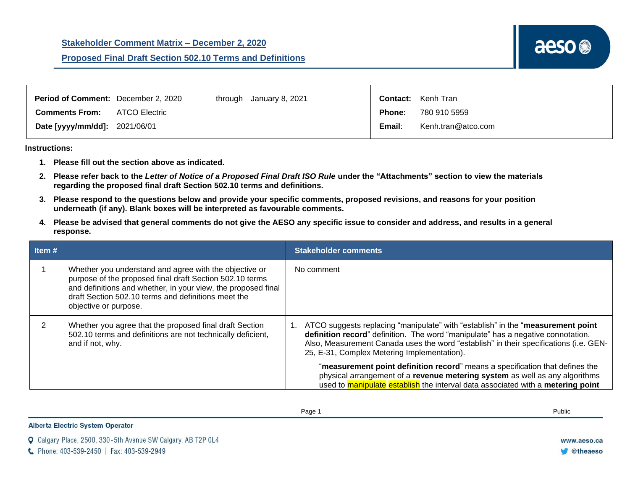| <b>Period of Comment:</b> December 2, 2020 |                      | through January 8, 2021 |               | <b>Contact:</b> Kenh Tran |
|--------------------------------------------|----------------------|-------------------------|---------------|---------------------------|
| <b>Comments From:</b>                      | <b>ATCO Electric</b> |                         | <b>Phone:</b> | 780 910 5959              |
| Date [yyyy/mm/dd]: 2021/06/01              |                      |                         | Email:        | Kenh.tran@atco.com        |

**Instructions:** 

- **1. Please fill out the section above as indicated.**
- **2. Please refer back to the** *Letter of Notice of a Proposed Final Draft ISO Rule* **under the "Attachments" section to view the materials regarding the proposed final draft Section 502.10 terms and definitions.**
- **3. Please respond to the questions below and provide your specific comments, proposed revisions, and reasons for your position underneath (if any). Blank boxes will be interpreted as favourable comments.**
- **4. Please be advised that general comments do not give the AESO any specific issue to consider and address, and results in a general response.**

| Item# |                                                                                                                                                                                                                                                                     | <b>Stakeholder comments</b>                                                                                                                                                                                                                                                                                 |
|-------|---------------------------------------------------------------------------------------------------------------------------------------------------------------------------------------------------------------------------------------------------------------------|-------------------------------------------------------------------------------------------------------------------------------------------------------------------------------------------------------------------------------------------------------------------------------------------------------------|
|       | Whether you understand and agree with the objective or<br>purpose of the proposed final draft Section 502.10 terms<br>and definitions and whether, in your view, the proposed final<br>draft Section 502.10 terms and definitions meet the<br>objective or purpose. | No comment                                                                                                                                                                                                                                                                                                  |
|       | Whether you agree that the proposed final draft Section<br>502.10 terms and definitions are not technically deficient,<br>and if not, why.                                                                                                                          | ATCO suggests replacing "manipulate" with "establish" in the "measurement point<br>definition record" definition. The word "manipulate" has a negative connotation.<br>Also, Measurement Canada uses the word "establish" in their specifications (i.e. GEN-<br>25, E-31, Complex Metering Implementation). |
|       |                                                                                                                                                                                                                                                                     | "measurement point definition record" means a specification that defines the<br>physical arrangement of a revenue metering system as well as any algorithms<br>used to <b>manipulate</b> establish the interval data associated with a metering point                                                       |

Page 1 Public

**Alberta Electric System Operator** 

C Calgary Place, 2500, 330-5th Avenue SW Calgary, AB T2P 0L4

C. Phone: 403-539-2450 | Fax: 403-539-2949